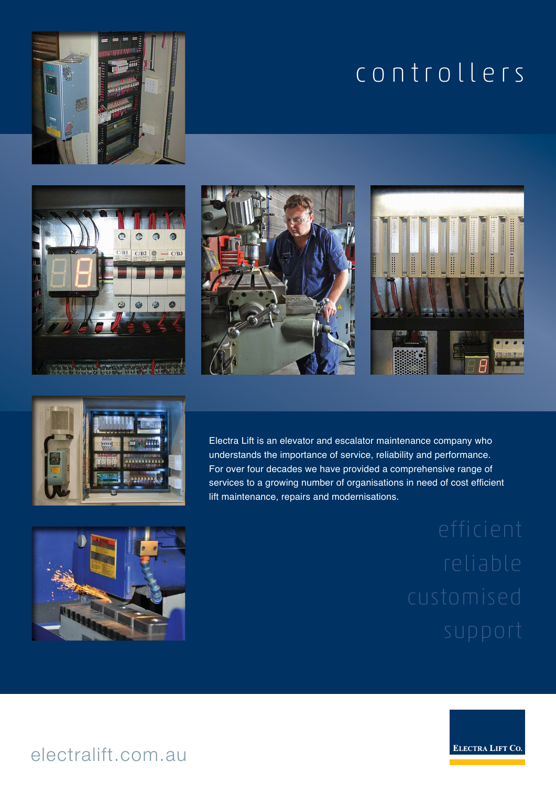# controllers











Electra Lift is an elevator and escalator maintenance company who understands the importance of service, reliability and performance. For over four decades we have provided a comprehensive range of services to a growing number of organisations in need of cost efficient lift maintenance, repairs and modernisations.





# electralift.com.au